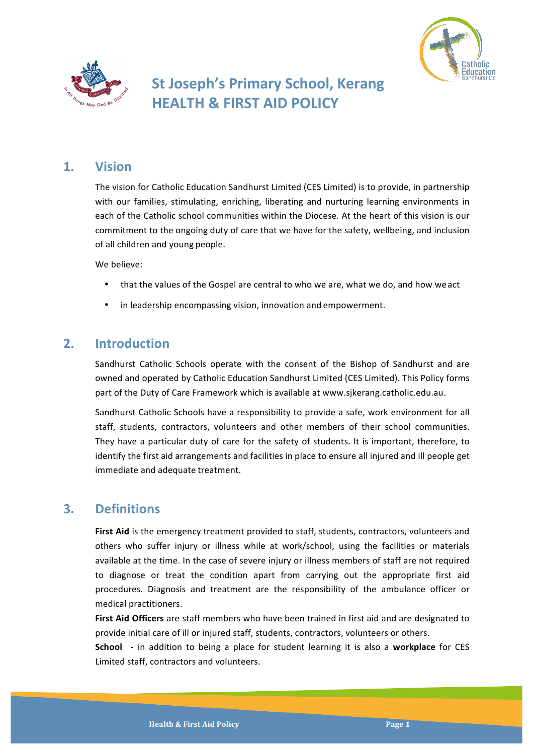



# **St Joseph's Primary School, Kerang HEALTH & FIRST AID POLICY**

# **1. Vision**

The vision for Catholic Education Sandhurst Limited (CES Limited) is to provide, in partnership with our families, stimulating, enriching, liberating and nurturing learning environments in each of the Catholic school communities within the Diocese. At the heart of this vision is our commitment to the ongoing duty of care that we have for the safety, wellbeing, and inclusion of all children and young people.

We believe:

- that the values of the Gospel are central to who we are, what we do, and how we act
- in leadership encompassing vision, innovation and empowerment.

# **2. Introduction**

Sandhurst Catholic Schools operate with the consent of the Bishop of Sandhurst and are owned and operated by Catholic Education Sandhurst Limited (CES Limited). This Policy forms part of the Duty of Care Framework which is available at www.sjkerang.catholic.edu.au.

Sandhurst Catholic Schools have a responsibility to provide a safe, work environment for all staff, students, contractors, volunteers and other members of their school communities. They have a particular duty of care for the safety of students. It is important, therefore, to identify the first aid arrangements and facilities in place to ensure all injured and ill people get immediate and adequate treatment.

# **3. Definitions**

First Aid is the emergency treatment provided to staff, students, contractors, volunteers and others who suffer injury or illness while at work/school, using the facilities or materials available at the time. In the case of severe injury or illness members of staff are not required to diagnose or treat the condition apart from carrying out the appropriate first aid procedures. Diagnosis and treatment are the responsibility of the ambulance officer or medical practitioners.

**First Aid Officers** are staff members who have been trained in first aid and are designated to provide initial care of ill or injured staff, students, contractors, volunteers or others.

**School** - in addition to being a place for student learning it is also a workplace for CES Limited staff, contractors and volunteers.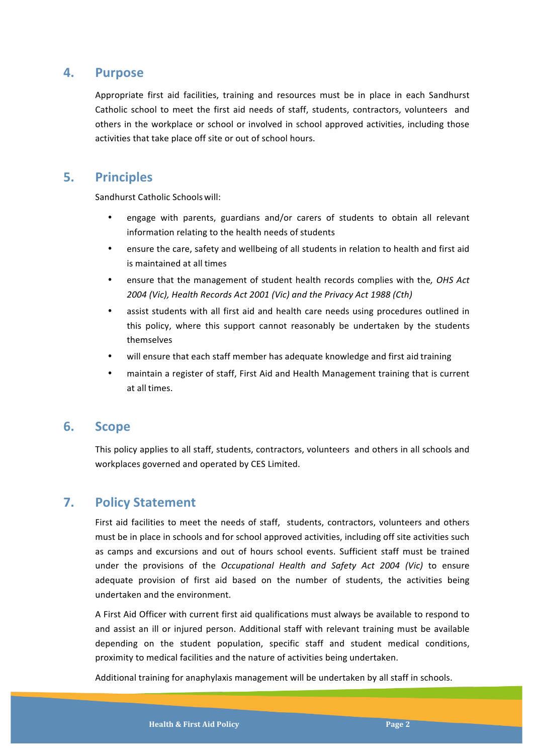### **4. Purpose**

Appropriate first aid facilities, training and resources must be in place in each Sandhurst Catholic school to meet the first aid needs of staff, students, contractors, volunteers and others in the workplace or school or involved in school approved activities, including those activities that take place off site or out of school hours.

### **5. Principles**

Sandhurst Catholic Schools will:

- engage with parents, guardians and/or carers of students to obtain all relevant information relating to the health needs of students
- ensure the care, safety and wellbeing of all students in relation to health and first aid is maintained at all times
- ensure that the management of student health records complies with the, OHS Act 2004 (Vic), Health Records Act 2001 (Vic) and the Privacy Act 1988 (Cth)
- assist students with all first aid and health care needs using procedures outlined in this policy, where this support cannot reasonably be undertaken by the students themselves
- will ensure that each staff member has adequate knowledge and first aid training
- maintain a register of staff, First Aid and Health Management training that is current at all times.

### **6. Scope**

This policy applies to all staff, students, contractors, volunteers and others in all schools and workplaces governed and operated by CES Limited.

# **7. Policy Statement**

First aid facilities to meet the needs of staff, students, contractors, volunteers and others must be in place in schools and for school approved activities, including off site activities such as camps and excursions and out of hours school events. Sufficient staff must be trained under the provisions of the *Occupational Health and Safety Act 2004 (Vic)* to ensure adequate provision of first aid based on the number of students, the activities being undertaken and the environment.

A First Aid Officer with current first aid qualifications must always be available to respond to and assist an ill or injured person. Additional staff with relevant training must be available depending on the student population, specific staff and student medical conditions, proximity to medical facilities and the nature of activities being undertaken.

Additional training for anaphylaxis management will be undertaken by all staff in schools.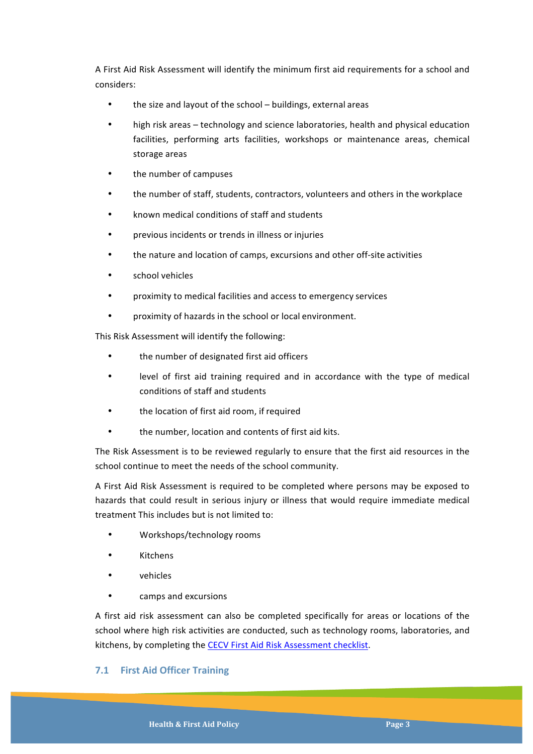A First Aid Risk Assessment will identify the minimum first aid requirements for a school and considers:

- the size and layout of the school buildings, external areas
- high risk areas technology and science laboratories, health and physical education facilities, performing arts facilities, workshops or maintenance areas, chemical storage areas
- the number of campuses
- the number of staff, students, contractors, volunteers and others in the workplace
- known medical conditions of staff and students
- previous incidents or trends in illness or injuries
- the nature and location of camps, excursions and other off-site activities
- school vehicles
- proximity to medical facilities and access to emergency services
- proximity of hazards in the school or local environment.

This Risk Assessment will identify the following:

- the number of designated first aid officers
- level of first aid training required and in accordance with the type of medical conditions of staff and students
- the location of first aid room, if required
- the number, location and contents of first aid kits.

The Risk Assessment is to be reviewed regularly to ensure that the first aid resources in the school continue to meet the needs of the school community.

A First Aid Risk Assessment is required to be completed where persons may be exposed to hazards that could result in serious injury or illness that would require immediate medical treatment This includes but is not limited to:

- Workshops/technology rooms
- Kitchens
- vehicles
- camps and excursions

A first aid risk assessment can also be completed specifically for areas or locations of the school where high risk activities are conducted, such as technology rooms, laboratories, and kitchens, by completing the CECV First Aid Risk Assessment checklist.

#### **7.1 First Aid Officer Training**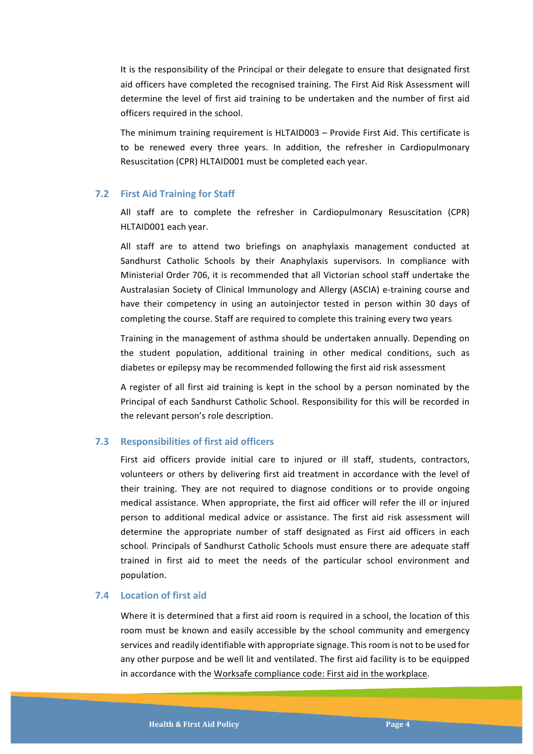It is the responsibility of the Principal or their delegate to ensure that designated first aid officers have completed the recognised training. The First Aid Risk Assessment will determine the level of first aid training to be undertaken and the number of first aid officers required in the school.

The minimum training requirement is HLTAID003 – Provide First Aid. This certificate is to be renewed every three years. In addition, the refresher in Cardiopulmonary Resuscitation (CPR) HLTAID001 must be completed each year.

#### **7.2 First Aid Training for Staff**

All staff are to complete the refresher in Cardiopulmonary Resuscitation (CPR) HLTAID001 each year.

All staff are to attend two briefings on anaphylaxis management conducted at Sandhurst Catholic Schools by their Anaphylaxis supervisors. In compliance with Ministerial Order 706, it is recommended that all Victorian school staff undertake the Australasian Society of Clinical Immunology and Allergy (ASCIA) e-training course and have their competency in using an autoinjector tested in person within 30 days of completing the course. Staff are required to complete this training every two years.

Training in the management of asthma should be undertaken annually. Depending on the student population, additional training in other medical conditions, such as diabetes or epilepsy may be recommended following the first aid risk assessment

A register of all first aid training is kept in the school by a person nominated by the Principal of each Sandhurst Catholic School. Responsibility for this will be recorded in the relevant person's role description.

#### **7.3** Responsibilities of first aid officers

First aid officers provide initial care to injured or ill staff, students, contractors, volunteers or others by delivering first aid treatment in accordance with the level of their training. They are not required to diagnose conditions or to provide ongoing medical assistance. When appropriate, the first aid officer will refer the ill or injured person to additional medical advice or assistance. The first aid risk assessment will determine the appropriate number of staff designated as First aid officers in each school. Principals of Sandhurst Catholic Schools must ensure there are adequate staff trained in first aid to meet the needs of the particular school environment and population.

#### **7.4 Location of first aid**

Where it is determined that a first aid room is required in a school, the location of this room must be known and easily accessible by the school community and emergency services and readily identifiable with appropriate signage. This room is not to be used for any other purpose and be well lit and ventilated. The first aid facility is to be equipped in accordance with the Worksafe compliance code: First aid in the workplace.